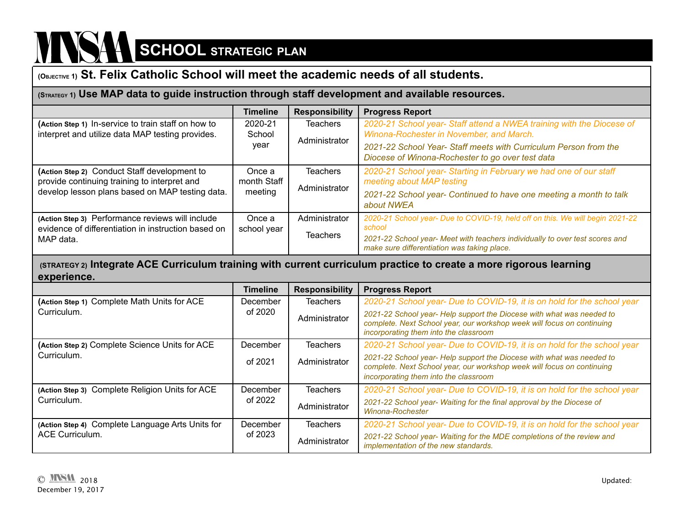## $\sum_{i=1}^{n}$

### **(OBJECTIVE 1) St. Felix Catholic School will meet the academic needs of all students.**

#### **(STRATEGY 1) Use MAP data to guide instruction through staff development and available resources.**

|                                                     | <b>Timeline</b> | <b>Responsibility</b> | <b>Progress Report</b>                                                                                                      |
|-----------------------------------------------------|-----------------|-----------------------|-----------------------------------------------------------------------------------------------------------------------------|
| (Action Step 1) In-service to train staff on how to | 2020-21         | <b>Teachers</b>       | 2020-21 School year- Staff attend a NWEA training with the Diocese of                                                       |
| interpret and utilize data MAP testing provides.    | School          | Administrator         | Winona-Rochester in November, and March.                                                                                    |
|                                                     | year            |                       | 2021-22 School Year- Staff meets with Curriculum Person from the                                                            |
|                                                     |                 |                       | Diocese of Winona-Rochester to go over test data                                                                            |
| (Action Step 2) Conduct Staff development to        | Once a          | <b>Teachers</b>       | 2020-21 School year- Starting in February we had one of our staff                                                           |
| provide continuing training to interpret and        | month Staff     | Administrator         | meeting about MAP testing                                                                                                   |
| develop lesson plans based on MAP testing data.     | meeting         |                       | 2021-22 School year- Continued to have one meeting a month to talk                                                          |
|                                                     |                 |                       | about NWEA                                                                                                                  |
| (Action Step 3) Performance reviews will include    | Once a          | Administrator         | 2020-21 School year- Due to COVID-19, held off on this. We will begin 2021-22                                               |
| evidence of differentiation in instruction based on | school year     |                       | school                                                                                                                      |
| MAP data.                                           |                 | <b>Teachers</b>       | 2021-22 School year- Meet with teachers individually to over test scores and<br>make sure differentiation was taking place. |

#### **(STRATEGY 2) Integrate ACE Curriculum training with current curriculum practice to create a more rigorous learning experience.**

|                                                  | <b>Timeline</b> | <b>Responsibility</b> | <b>Progress Report</b>                                                                                                                                                                   |
|--------------------------------------------------|-----------------|-----------------------|------------------------------------------------------------------------------------------------------------------------------------------------------------------------------------------|
| (Action Step 1) Complete Math Units for ACE      | December        | <b>Teachers</b>       | 2020-21 School year- Due to COVID-19, it is on hold for the school year                                                                                                                  |
| Curriculum.                                      | of 2020         | Administrator         | 2021-22 School year- Help support the Diocese with what was needed to<br>complete. Next School year, our workshop week will focus on continuing<br>incorporating them into the classroom |
| (Action Step 2) Complete Science Units for ACE   | December        | <b>Teachers</b>       | 2020-21 School year- Due to COVID-19, it is on hold for the school year                                                                                                                  |
| Curriculum.                                      | of 2021         | Administrator         | 2021-22 School year- Help support the Diocese with what was needed to<br>complete. Next School year, our workshop week will focus on continuing<br>incorporating them into the classroom |
| (Action Step 3) Complete Religion Units for ACE  | December        | <b>Teachers</b>       | 2020-21 School year- Due to COVID-19, it is on hold for the school year                                                                                                                  |
| Curriculum.                                      | of 2022         | Administrator         | 2021-22 School year- Waiting for the final approval by the Diocese of<br>Winona-Rochester                                                                                                |
| (Action Step 4) Complete Language Arts Units for | December        | <b>Teachers</b>       | 2020-21 School year- Due to COVID-19, it is on hold for the school year                                                                                                                  |
| <b>ACE Curriculum.</b>                           | of 2023         | Administrator         | 2021-22 School year- Waiting for the MDE completions of the review and<br>implementation of the new standards.                                                                           |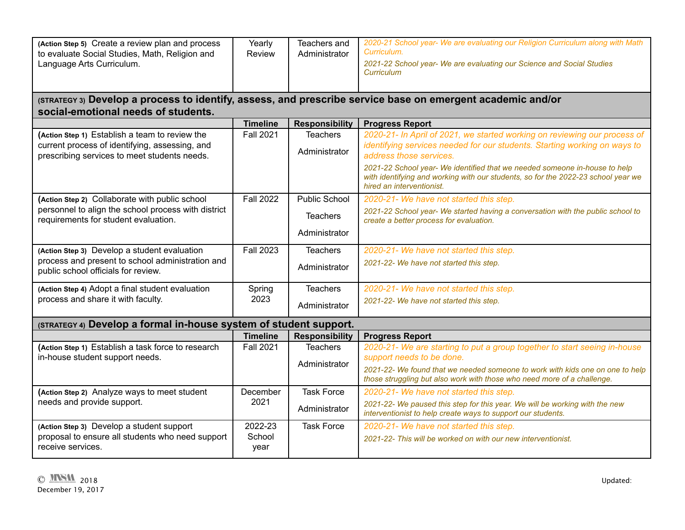| (Action Step 5) Create a review plan and process<br>to evaluate Social Studies, Math, Religion and<br>Language Arts Curriculum. | Yearly<br>Review | Teachers and<br>Administrator | 2020-21 School year- We are evaluating our Religion Curriculum along with Math<br>Curriculum.<br>2021-22 School year- We are evaluating our Science and Social Studies<br><b>Curriculum</b>  |
|---------------------------------------------------------------------------------------------------------------------------------|------------------|-------------------------------|----------------------------------------------------------------------------------------------------------------------------------------------------------------------------------------------|
| social-emotional needs of students.                                                                                             |                  |                               | (STRATEGY 3) Develop a process to identify, assess, and prescribe service base on emergent academic and/or                                                                                   |
|                                                                                                                                 | <b>Timeline</b>  | <b>Responsibility</b>         | <b>Progress Report</b>                                                                                                                                                                       |
| (Action Step 1) Establish a team to review the                                                                                  | <b>Fall 2021</b> | <b>Teachers</b>               | 2020-21- In April of 2021, we started working on reviewing our process of                                                                                                                    |
| current process of identifying, assessing, and<br>prescribing services to meet students needs.                                  |                  | Administrator                 | identifying services needed for our students. Starting working on ways to<br>address those services.                                                                                         |
|                                                                                                                                 |                  |                               | 2021-22 School year- We identified that we needed someone in-house to help<br>with identifying and working with our students, so for the 2022-23 school year we<br>hired an interventionist. |
| (Action Step 2) Collaborate with public school                                                                                  | <b>Fall 2022</b> | <b>Public School</b>          | 2020-21- We have not started this step.                                                                                                                                                      |
| personnel to align the school process with district<br>requirements for student evaluation.                                     |                  | <b>Teachers</b>               | 2021-22 School year- We started having a conversation with the public school to<br>create a better process for evaluation.                                                                   |
|                                                                                                                                 |                  | Administrator                 |                                                                                                                                                                                              |
| (Action Step 3) Develop a student evaluation                                                                                    | <b>Fall 2023</b> | <b>Teachers</b>               | 2020-21- We have not started this step.                                                                                                                                                      |
| process and present to school administration and<br>public school officials for review.                                         |                  | Administrator                 | 2021-22- We have not started this step.                                                                                                                                                      |
| (Action Step 4) Adopt a final student evaluation                                                                                | Spring           | <b>Teachers</b>               | 2020-21- We have not started this step.                                                                                                                                                      |
| process and share it with faculty.                                                                                              | 2023             | Administrator                 | 2021-22- We have not started this step.                                                                                                                                                      |
| (STRATEGY 4) Develop a formal in-house system of student support.                                                               |                  |                               |                                                                                                                                                                                              |
|                                                                                                                                 | <b>Timeline</b>  | <b>Responsibility</b>         | <b>Progress Report</b>                                                                                                                                                                       |
| (Action Step 1) Establish a task force to research                                                                              | <b>Fall 2021</b> | <b>Teachers</b>               | 2020-21- We are starting to put a group together to start seeing in-house                                                                                                                    |
| in-house student support needs.                                                                                                 |                  | Administrator                 | support needs to be done.                                                                                                                                                                    |
|                                                                                                                                 |                  |                               | 2021-22- We found that we needed someone to work with kids one on one to help<br>those struggling but also work with those who need more of a challenge.                                     |
| (Action Step 2) Analyze ways to meet student                                                                                    | December         | <b>Task Force</b>             | 2020-21- We have not started this step.                                                                                                                                                      |
| needs and provide support.                                                                                                      | 2021             | Administrator                 | 2021-22- We paused this step for this year. We will be working with the new<br>interventionist to help create ways to support our students.                                                  |
| (Action Step 3) Develop a student support                                                                                       | 2022-23          | <b>Task Force</b>             | 2020-21- We have not started this step.                                                                                                                                                      |
| proposal to ensure all students who need support<br>receive services.                                                           | School<br>year   |                               | 2021-22- This will be worked on with our new interventionist.                                                                                                                                |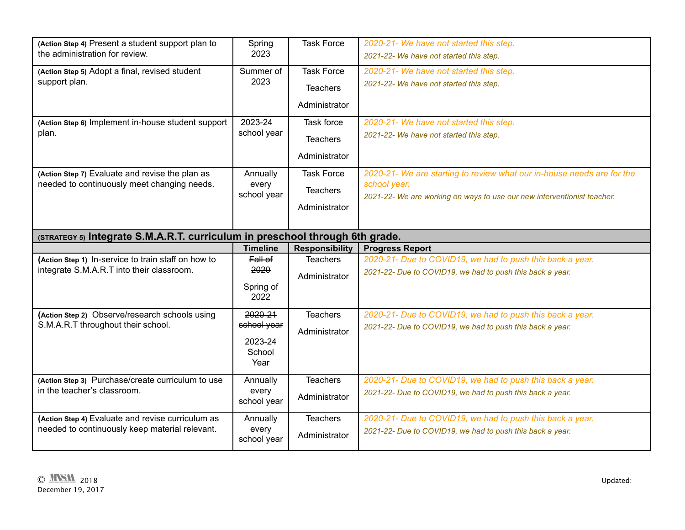| (Action Step 4) Present a student support plan to<br>the administration for review.              | Spring<br>2023                                      | <b>Task Force</b>                                     | 2020-21- We have not started this step.<br>2021-22- We have not started this step.                                                                                |  |  |
|--------------------------------------------------------------------------------------------------|-----------------------------------------------------|-------------------------------------------------------|-------------------------------------------------------------------------------------------------------------------------------------------------------------------|--|--|
| (Action Step 5) Adopt a final, revised student<br>support plan.                                  | Summer of<br>2023                                   | <b>Task Force</b><br><b>Teachers</b><br>Administrator | 2020-21- We have not started this step.<br>2021-22- We have not started this step.                                                                                |  |  |
| (Action Step 6) Implement in-house student support<br>plan.                                      | 2023-24<br>school year                              | Task force<br><b>Teachers</b><br>Administrator        | 2020-21- We have not started this step.<br>2021-22- We have not started this step.                                                                                |  |  |
| (Action Step 7) Evaluate and revise the plan as<br>needed to continuously meet changing needs.   | Annually<br>every<br>school year                    | <b>Task Force</b><br><b>Teachers</b><br>Administrator | 2020-21- We are starting to review what our in-house needs are for the<br>school year.<br>2021-22- We are working on ways to use our new interventionist teacher. |  |  |
| (STRATEGY 5) Integrate S.M.A.R.T. curriculum in preschool through 6th grade.                     |                                                     |                                                       |                                                                                                                                                                   |  |  |
|                                                                                                  |                                                     |                                                       |                                                                                                                                                                   |  |  |
|                                                                                                  | <b>Timeline</b>                                     | <b>Responsibility</b>                                 | <b>Progress Report</b>                                                                                                                                            |  |  |
| (Action Step 1) In-service to train staff on how to<br>integrate S.M.A.R.T into their classroom. | $Fall$ of<br>2020<br>Spring of<br>2022              | <b>Teachers</b><br>Administrator                      | 2020-21- Due to COVID19, we had to push this back a year.<br>2021-22- Due to COVID19, we had to push this back a year.                                            |  |  |
| (Action Step 2) Observe/research schools using<br>S.M.A.R.T throughout their school.             | 2020 21<br>school year<br>2023-24<br>School<br>Year | <b>Teachers</b><br>Administrator                      | 2020-21- Due to COVID19, we had to push this back a year.<br>2021-22- Due to COVID19, we had to push this back a year.                                            |  |  |
| (Action Step 3) Purchase/create curriculum to use<br>in the teacher's classroom.                 | Annually<br>every<br>school year                    | <b>Teachers</b><br>Administrator                      | 2020-21- Due to COVID19, we had to push this back a year.<br>2021-22- Due to COVID19, we had to push this back a year.                                            |  |  |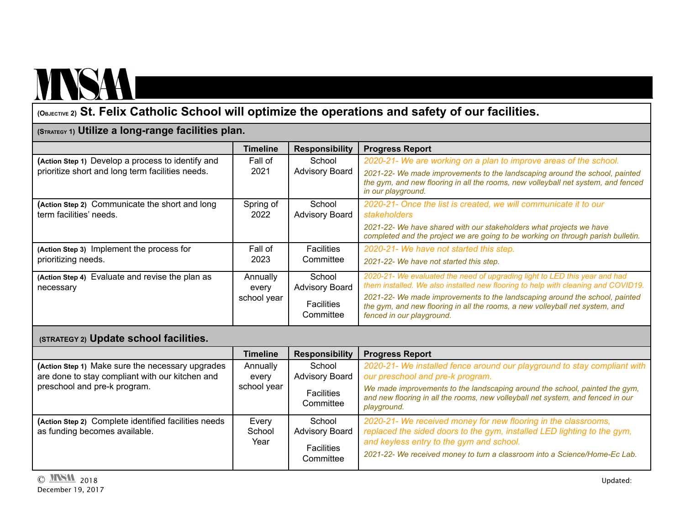## MNSAA

### **(OBJECTIVE 2) St. Felix Catholic School will optimize the operations and safety of our facilities.**

#### **(STRATEGY 1) Utilize a long-range facilities plan.**

|                                                   | <b>Timeline</b> | <b>Responsibility</b>          | <b>Progress Report</b>                                                                                                                                                                   |
|---------------------------------------------------|-----------------|--------------------------------|------------------------------------------------------------------------------------------------------------------------------------------------------------------------------------------|
| (Action Step 1) Develop a process to identify and | Fall of         | School                         | 2020-21- We are working on a plan to improve areas of the school.                                                                                                                        |
| prioritize short and long term facilities needs.  | 2021            | <b>Advisory Board</b>          | 2021-22- We made improvements to the landscaping around the school, painted<br>the gym, and new flooring in all the rooms, new volleyball net system, and fenced                         |
|                                                   |                 |                                | in our playground.                                                                                                                                                                       |
| (Action Step 2) Communicate the short and long    | Spring of       | School                         | 2020-21- Once the list is created, we will communicate it to our                                                                                                                         |
| term facilities' needs.                           | 2022            | <b>Advisory Board</b>          | stakeholders                                                                                                                                                                             |
|                                                   |                 |                                | 2021-22- We have shared with our stakeholders what projects we have<br>completed and the project we are going to be working on through parish bulletin.                                  |
| (Action Step 3) Implement the process for         | Fall of         | <b>Facilities</b>              | 2020-21- We have not started this step.                                                                                                                                                  |
| prioritizing needs.                               | 2023            | Committee                      | 2021-22- We have not started this step.                                                                                                                                                  |
| (Action Step 4) Evaluate and revise the plan as   | Annually        | School                         | 2020-21- We evaluated the need of upgrading light to LED this year and had<br>them installed. We also installed new flooring to help with cleaning and COVID19.                          |
| necessary                                         | every           | <b>Advisory Board</b>          |                                                                                                                                                                                          |
|                                                   | school year     | <b>Facilities</b><br>Committee | 2021-22- We made improvements to the landscaping around the school, painted<br>the gym, and new flooring in all the rooms, a new volleyball net system, and<br>fenced in our playground. |

#### **(STRATEGY 2) Update school facilities.**

|                                                      | Timeline    | <b>Responsibility</b>          | <b>Progress Report</b>                                                                                                                                                        |
|------------------------------------------------------|-------------|--------------------------------|-------------------------------------------------------------------------------------------------------------------------------------------------------------------------------|
| (Action Step 1) Make sure the necessary upgrades     | Annually    | School                         | 2020-21- We installed fence around our playground to stay compliant with                                                                                                      |
| are done to stay compliant with our kitchen and      | every       | <b>Advisory Board</b>          | our preschool and pre-k program.                                                                                                                                              |
| preschool and pre-k program.                         | school year | <b>Facilities</b><br>Committee | We made improvements to the landscaping around the school, painted the gym,<br>and new flooring in all the rooms, new volleyball net system, and fenced in our<br>playground. |
| (Action Step 2) Complete identified facilities needs | Every       | School                         | 2020-21- We received money for new flooring in the classrooms,                                                                                                                |
| as funding becomes available.                        | School      | <b>Advisory Board</b>          | replaced the sided doors to the gym, installed LED lighting to the gym,                                                                                                       |
|                                                      | Year        | <b>Facilities</b>              | and keyless entry to the gym and school.                                                                                                                                      |
|                                                      |             | Committee                      | 2021-22- We received money to turn a classroom into a Science/Home-Ec Lab.                                                                                                    |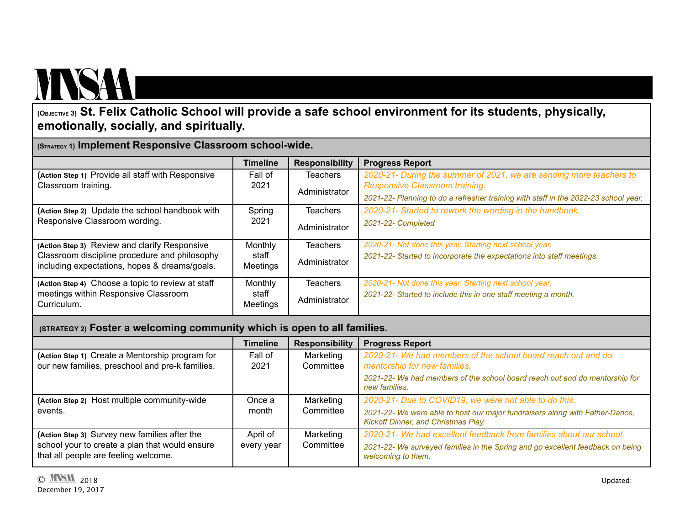## MNSA

### (OBJECTIVE 3) St. Felix Catholic School will provide a safe school environment for its students, physically, **emotionally, socially, and spiritually.**

**(STRATEGY 1) Implement Responsive Classroom school-wide.**

|                                                                                                | <b>Timeline</b>          | <b>Responsibility</b> | <b>Progress Report</b>                                                              |
|------------------------------------------------------------------------------------------------|--------------------------|-----------------------|-------------------------------------------------------------------------------------|
| (Action Step 1) Provide all staff with Responsive                                              | Fall of                  | <b>Teachers</b>       | 2020-21- During the summer of 2021, we are sending more teachers to                 |
| Classroom training.                                                                            | 2021                     | Administrator         | Responsive Classroom training.                                                      |
|                                                                                                |                          |                       | 2021-22- Planning to do a refresher training with staff in the 2022-23 school year. |
| (Action Step 2) Update the school handbook with                                                | Spring                   | <b>Teachers</b>       | 2020-21- Started to rework the wording in the handbook.                             |
| Responsive Classroom wording.                                                                  | 2021                     | Administrator         | 2021-22- Completed                                                                  |
| (Action Step 3) Review and clarify Responsive                                                  | Monthly                  | <b>Teachers</b>       | 2020-21- Not done this year. Starting next school year.                             |
| Classroom discipline procedure and philosophy<br>including expectations, hopes & dreams/goals. | staff<br><b>Meetings</b> | Administrator         | 2021-22- Started to incorporate the expectations into staff meetings.               |
| (Action Step 4) Choose a topic to review at staff                                              | Monthly                  | <b>Teachers</b>       | 2020-21- Not done this year. Starting next school year.                             |
| meetings within Responsive Classroom<br>Curriculum.                                            | staff<br><b>Meetings</b> | Administrator         | 2021-22- Started to include this in one staff meeting a month.                      |

#### **(STRATEGY 2) Foster a welcoming community which is open to all families.**

|                                                                                        | Timeline   | <b>Responsibility</b> | <b>Progress Report</b>                                                                                              |
|----------------------------------------------------------------------------------------|------------|-----------------------|---------------------------------------------------------------------------------------------------------------------|
| (Action Step 1) Create a Mentorship program for                                        | Fall of    | Marketing             | 2020-21- We had members of the school board reach out and do                                                        |
| our new families, preschool and pre-k families.                                        | 2021       | Committee             | mentorship for new families.                                                                                        |
|                                                                                        |            |                       | 2021-22- We had members of the school board reach out and do mentorship for<br>new families.                        |
| (Action Step 2) Host multiple community-wide                                           | Once a     | Marketing             | 2020-21- Due to COVID19, we were not able to do this.                                                               |
| events.                                                                                | month      | Committee             | 2021-22- We were able to host our major fundraisers along with Father-Dance,<br>Kickoff Dinner, and Christmas Play. |
| (Action Step 3) Survey new families after the                                          | April of   | Marketing             | 2020-21- We had excellent feedback from families about our school.                                                  |
| school your to create a plan that would ensure<br>that all people are feeling welcome. | every year | Committee             | 2021-22- We surveyed families in the Spring and go excellent feedback on being<br>welcoming to them.                |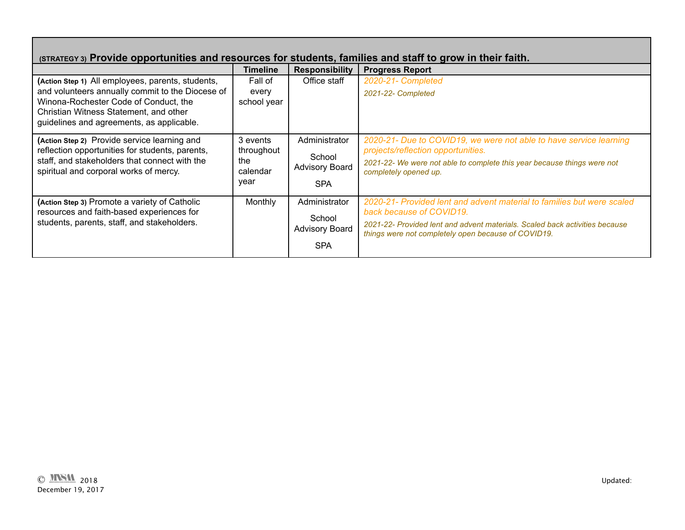| (STRATEGY 3) Provide opportunities and resources for students, families and staff to grow in their faith.                                                                                                                             |                                                   |                                                                |                                                                                                                                                                                                                                          |  |
|---------------------------------------------------------------------------------------------------------------------------------------------------------------------------------------------------------------------------------------|---------------------------------------------------|----------------------------------------------------------------|------------------------------------------------------------------------------------------------------------------------------------------------------------------------------------------------------------------------------------------|--|
|                                                                                                                                                                                                                                       | <b>Timeline</b>                                   | <b>Responsibility</b>                                          | <b>Progress Report</b>                                                                                                                                                                                                                   |  |
| (Action Step 1) All employees, parents, students,<br>and volunteers annually commit to the Diocese of<br>Winona-Rochester Code of Conduct, the<br>Christian Witness Statement, and other<br>guidelines and agreements, as applicable. | Fall of<br>every<br>school year                   | Office staff                                                   | 2020-21- Completed<br>2021-22- Completed                                                                                                                                                                                                 |  |
| (Action Step 2) Provide service learning and<br>reflection opportunities for students, parents,<br>staff, and stakeholders that connect with the<br>spiritual and corporal works of mercy.                                            | 3 events<br>throughout<br>the<br>calendar<br>vear | Administrator<br>School<br><b>Advisory Board</b><br><b>SPA</b> | 2020-21- Due to COVID19, we were not able to have service learning<br>projects/reflection opportunities.<br>2021-22- We were not able to complete this year because things were not<br>completely opened up.                             |  |
| (Action Step 3) Promote a variety of Catholic<br>resources and faith-based experiences for<br>students, parents, staff, and stakeholders.                                                                                             | Monthly                                           | Administrator<br>School<br><b>Advisory Board</b><br><b>SPA</b> | 2020-21- Provided lent and advent material to families but were scaled<br>back because of COVID19.<br>2021-22- Provided lent and advent materials. Scaled back activities because<br>things were not completely open because of COVID19. |  |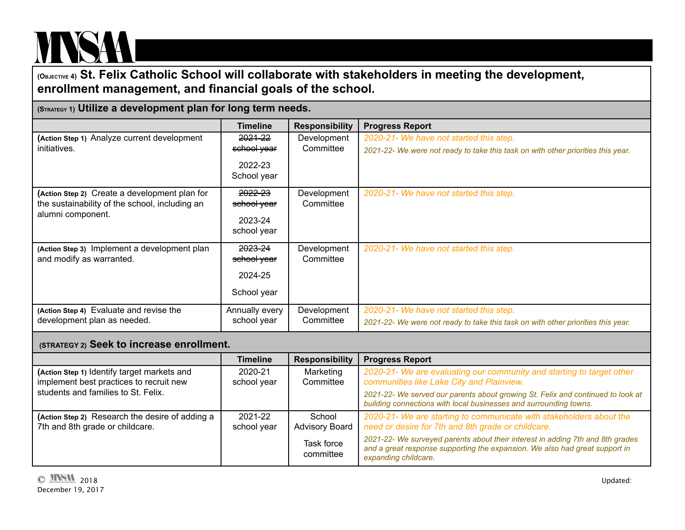# MNSA

**(OBJECTIVE 4) St. Felix Catholic School will collaborate with stakeholders in meeting the development, enrollment management, and financial goals of the school.**

| (STRATEGY 1) Utilize a development plan for long term needs.                                                         |                                                  |                          |                                                                                                                             |
|----------------------------------------------------------------------------------------------------------------------|--------------------------------------------------|--------------------------|-----------------------------------------------------------------------------------------------------------------------------|
|                                                                                                                      | <b>Timeline</b>                                  | <b>Responsibility</b>    | <b>Progress Report</b>                                                                                                      |
| (Action Step 1) Analyze current development<br>initiatives.                                                          | 2021-22<br>school year<br>2022-23<br>School year | Development<br>Committee | 2020-21- We have not started this step.<br>2021-22- We were not ready to take this task on with other priorities this year. |
| (Action Step 2) Create a development plan for<br>the sustainability of the school, including an<br>alumni component. | 2022-23<br>school year<br>2023-24<br>school year | Development<br>Committee | 2020-21- We have not started this step.                                                                                     |
| (Action Step 3) Implement a development plan<br>and modify as warranted.                                             | 2023-24<br>school year<br>2024-25<br>School year | Development<br>Committee | 2020-21- We have not started this step.                                                                                     |
| (Action Step 4) Evaluate and revise the<br>development plan as needed.                                               | Annually every<br>school year                    | Development<br>Committee | 2020-21- We have not started this step.<br>2021-22- We were not ready to take this task on with other priorities this year. |

#### **(STRATEGY 2) Seek to increase enrollment.**

|                                                                                        | <b>Timeline</b>        | <b>Responsibility</b>           | <b>Progress Report</b>                                                                                                                                                                |
|----------------------------------------------------------------------------------------|------------------------|---------------------------------|---------------------------------------------------------------------------------------------------------------------------------------------------------------------------------------|
| (Action Step 1) Identify target markets and<br>implement best practices to recruit new | 2020-21<br>school year | Marketing<br>Committee          | 2020-21- We are evaluating our community and starting to target other<br>communities like Lake City and Plainview.                                                                    |
| students and families to St. Felix.                                                    |                        |                                 | 2021-22- We served our parents about growing St. Felix and continued to look at<br>building connections with local businesses and surrounding towns.                                  |
| (Action Step 2) Research the desire of adding a<br>7th and 8th grade or childcare.     | 2021-22<br>school year | School<br><b>Advisory Board</b> | 2020-21- We are starting to communicate with stakeholders about the<br>need or desire for 7th and 8th grade or childcare.                                                             |
|                                                                                        |                        | Task force<br>committee         | 2021-22- We surveyed parents about their interest in adding 7th and 8th grades<br>and a great response supporting the expansion. We also had great support in<br>expanding childcare. |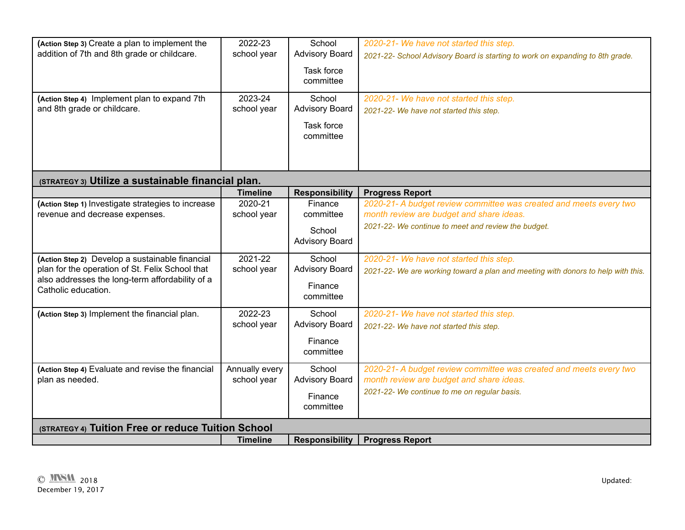| (Action Step 3) Create a plan to implement the<br>addition of 7th and 8th grade or childcare.                                                                                | 2022-23<br>school year<br>2023-24         | School<br><b>Advisory Board</b><br>Task force<br>committee<br>School | 2020-21- We have not started this step.<br>2021-22- School Advisory Board is starting to work on expanding to 8th grade.<br>2020-21- We have not started this step.                             |
|------------------------------------------------------------------------------------------------------------------------------------------------------------------------------|-------------------------------------------|----------------------------------------------------------------------|-------------------------------------------------------------------------------------------------------------------------------------------------------------------------------------------------|
| (Action Step 4) Implement plan to expand 7th<br>and 8th grade or childcare.                                                                                                  | school year                               | <b>Advisory Board</b><br>Task force<br>committee                     | 2021-22- We have not started this step.                                                                                                                                                         |
| (STRATEGY 3) Utilize a sustainable financial plan.                                                                                                                           |                                           |                                                                      |                                                                                                                                                                                                 |
| (Action Step 1) Investigate strategies to increase<br>revenue and decrease expenses.                                                                                         | <b>Timeline</b><br>2020-21<br>school year | <b>Responsibility</b><br>Finance<br>committee<br>School              | <b>Progress Report</b><br>2020-21- A budget review committee was created and meets every two<br>month review are budget and share ideas.<br>2021-22- We continue to meet and review the budget. |
|                                                                                                                                                                              |                                           | <b>Advisory Board</b>                                                |                                                                                                                                                                                                 |
| (Action Step 2) Develop a sustainable financial<br>plan for the operation of St. Felix School that<br>also addresses the long-term affordability of a<br>Catholic education. | 2021-22<br>school year                    | School<br><b>Advisory Board</b><br>Finance<br>committee              | 2020-21- We have not started this step.<br>2021-22- We are working toward a plan and meeting with donors to help with this.                                                                     |
| (Action Step 3) Implement the financial plan.                                                                                                                                | 2022-23<br>school year                    | School<br><b>Advisory Board</b><br>Finance<br>committee              | 2020-21- We have not started this step.<br>2021-22- We have not started this step.                                                                                                              |
| (Action Step 4) Evaluate and revise the financial<br>plan as needed.                                                                                                         | Annually every<br>school year             | School<br><b>Advisory Board</b><br>Finance<br>committee              | 2020-21- A budget review committee was created and meets every two<br>month review are budget and share ideas.<br>2021-22- We continue to me on regular basis.                                  |
| (STRATEGY 4) Tuition Free or reduce Tuition School                                                                                                                           |                                           |                                                                      |                                                                                                                                                                                                 |
|                                                                                                                                                                              | <b>Timeline</b>                           | <b>Responsibility</b>                                                | <b>Progress Report</b>                                                                                                                                                                          |